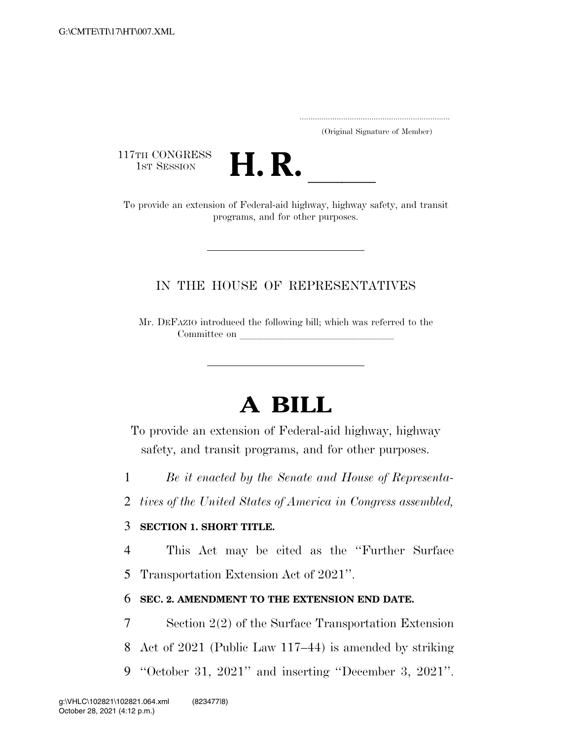..................................................................... (Original Signature of Member)

117TH CONGRESS<br>1st Session



17TH CONGRESS<br>1st SESSION **H. R.** <u>Indicated by</u><br>To provide an extension of Federal-aid highway, highway safety, and transit programs, and for other purposes.

## IN THE HOUSE OF REPRESENTATIVES

Mr. DEFAZIO introduced the following bill; which was referred to the Committee on

## **A BILL**

To provide an extension of Federal-aid highway, highway safety, and transit programs, and for other purposes.

- 1 *Be it enacted by the Senate and House of Representa-*
- 2 *tives of the United States of America in Congress assembled,*

## 3 **SECTION 1. SHORT TITLE.**

4 This Act may be cited as the ''Further Surface

5 Transportation Extension Act of 2021''.

## 6 **SEC. 2. AMENDMENT TO THE EXTENSION END DATE.**

- 7 Section 2(2) of the Surface Transportation Extension
- 8 Act of 2021 (Public Law 117–44) is amended by striking
- 9 ''October 31, 2021'' and inserting ''December 3, 2021''.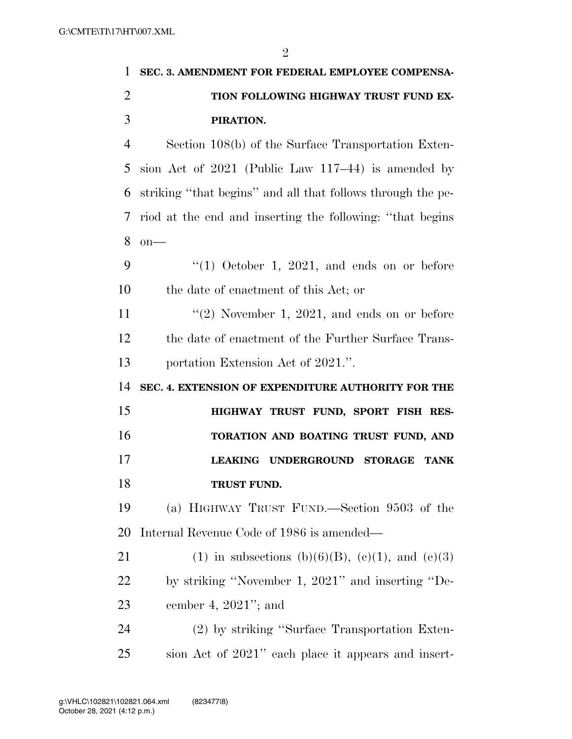| 1              | SEC. 3. AMENDMENT FOR FEDERAL EMPLOYEE COMPENSA-                      |
|----------------|-----------------------------------------------------------------------|
| $\overline{2}$ | TION FOLLOWING HIGHWAY TRUST FUND EX-                                 |
| 3              | PIRATION.                                                             |
| $\overline{4}$ | Section 108(b) of the Surface Transportation Exten-                   |
| 5              | sion Act of $2021$ (Public Law 117–44) is amended by                  |
| 6              | striking "that begins" and all that follows through the pe-           |
| 7              | riod at the end and inserting the following: "that begins             |
| 8              | $on$ —                                                                |
| 9              | $(1)$ October 1, 2021, and ends on or before                          |
| 10             | the date of enactment of this Act; or                                 |
| 11             | $\lq(2)$ November 1, 2021, and ends on or before                      |
| 12             | the date of enactment of the Further Surface Trans-                   |
| 13             | portation Extension Act of 2021.".                                    |
| 14             | SEC. 4. EXTENSION OF EXPENDITURE AUTHORITY FOR THE                    |
| 15             | HIGHWAY TRUST FUND, SPORT FISH RES-                                   |
| 16             | TORATION AND BOATING TRUST FUND, AND                                  |
| 17             | <b>LEAKING</b><br><b>UNDERGROUND</b><br><b>STORAGE</b><br><b>TANK</b> |
| 18             | TRUST FUND.                                                           |
| 19             | (a) HIGHWAY TRUST FUND.—Section 9503 of the                           |
| 20             | Internal Revenue Code of 1986 is amended—                             |
| 21             | (1) in subsections (b)(6)(B), (c)(1), and (e)(3)                      |
| 22             | by striking "November 1, 2021" and inserting "De-                     |
| 23             | cember 4, $2021$ "; and                                               |
| 24             | (2) by striking "Surface Transportation Exten-                        |
| 25             | sion Act of 2021" each place it appears and insert-                   |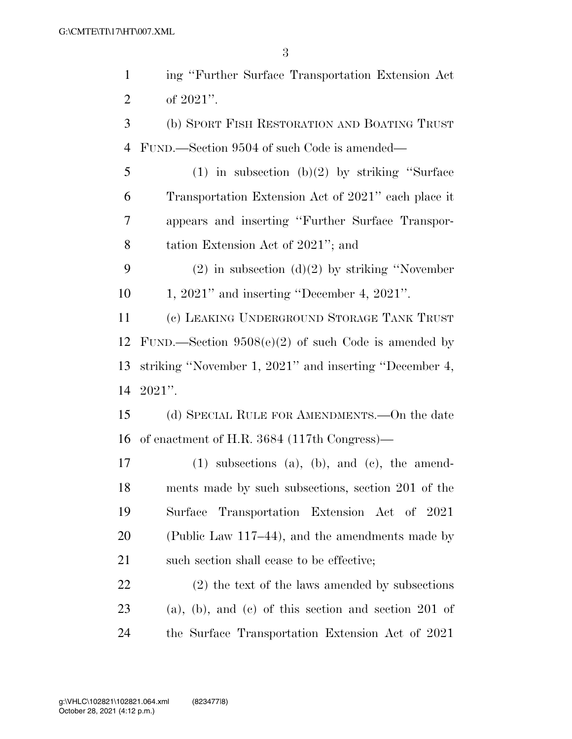ing ''Further Surface Transportation Extension Act of 2021''. (b) SPORT FISH RESTORATION AND BOATING TRUST FUND.—Section 9504 of such Code is amended— (1) in subsection (b)(2) by striking ''Surface Transportation Extension Act of 2021'' each place it appears and inserting ''Further Surface Transpor- tation Extension Act of 2021''; and 9 (2) in subsection  $(d)(2)$  by striking "November" 1, 2021'' and inserting ''December 4, 2021''. (c) LEAKING UNDERGROUND STORAGE TANK TRUST FUND.—Section 9508(e)(2) of such Code is amended by striking ''November 1, 2021'' and inserting ''December 4, 2021''. (d) SPECIAL RULE FOR AMENDMENTS.—On the date of enactment of H.R. 3684 (117th Congress)— (1) subsections (a), (b), and (c), the amend- ments made by such subsections, section 201 of the Surface Transportation Extension Act of 2021 (Public Law 117–44), and the amendments made by 21 such section shall cease to be effective; (2) the text of the laws amended by subsections (a), (b), and (c) of this section and section 201 of

the Surface Transportation Extension Act of 2021